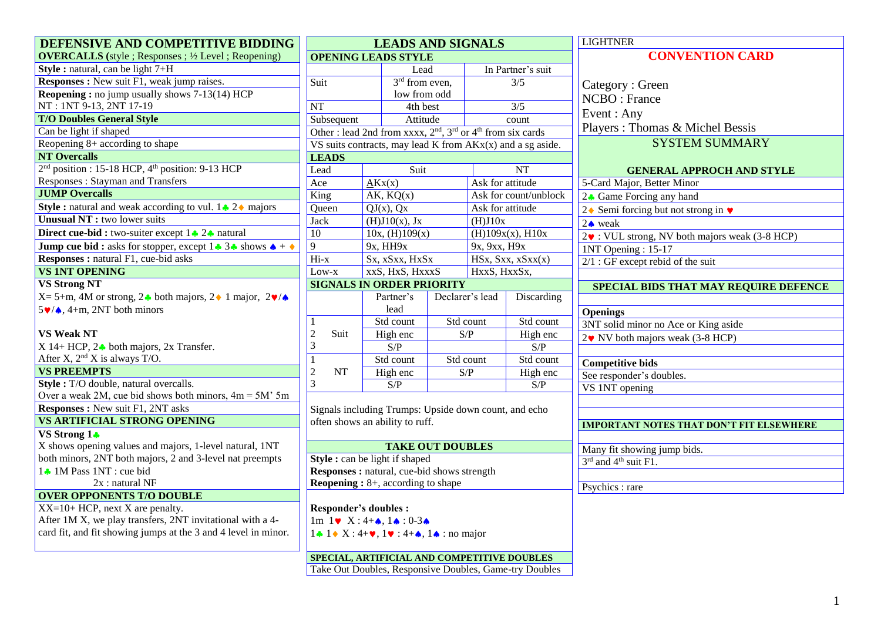| DEFENSIVE AND COMPETITIVE BIDDING                                                               | <b>LEADS AND SIGNALS</b>                                         |                                                                                          |                  |                          |                          | <b>LIGHTNER</b>                                        |  |
|-------------------------------------------------------------------------------------------------|------------------------------------------------------------------|------------------------------------------------------------------------------------------|------------------|--------------------------|--------------------------|--------------------------------------------------------|--|
| <b>OVERCALLS</b> (style ; Responses ; 1/2 Level ; Reopening)                                    | <b>OPENING LEADS STYLE</b>                                       |                                                                                          |                  |                          |                          | <b>CONVENTION CARD</b>                                 |  |
| Style : natural, can be light $7 + H$                                                           | Lead                                                             |                                                                                          |                  |                          | In Partner's suit        |                                                        |  |
| <b>Responses :</b> New suit F1, weak jump raises.                                               | Suit                                                             | $3rd$ from even,                                                                         |                  |                          | $\overline{\frac{3}{5}}$ | Category: Green                                        |  |
| <b>Reopening:</b> no jump usually shows 7-13(14) HCP                                            |                                                                  | low from odd                                                                             |                  |                          |                          | NCBO: France                                           |  |
| NT: 1NT 9-13, 2NT 17-19                                                                         | NT                                                               | 4th best                                                                                 |                  | $\overline{\frac{3}{5}}$ |                          |                                                        |  |
| <b>T/O Doubles General Style</b>                                                                | Subsequent                                                       | Attitude                                                                                 |                  | count                    |                          | Event: Any                                             |  |
| Can be light if shaped                                                                          | Other: lead 2nd from xxxx, $2nd$ , $3rd$ or $4th$ from six cards |                                                                                          |                  |                          |                          | Players: Thomas & Michel Bessis                        |  |
| Reopening $8+$ according to shape                                                               | VS suits contracts, may lead K from $AKx(x)$ and a sg aside.     |                                                                                          |                  |                          |                          | <b>SYSTEM SUMMARY</b>                                  |  |
| <b>NT Overcalls</b>                                                                             | <b>LEADS</b>                                                     |                                                                                          |                  |                          |                          |                                                        |  |
| 2 <sup>nd</sup> position : 15-18 HCP, 4 <sup>th</sup> position: 9-13 HCP                        | Lead                                                             | Suit                                                                                     |                  | <b>NT</b>                |                          | <b>GENERAL APPROCH AND STYLE</b>                       |  |
| Responses : Stayman and Transfers                                                               | Ace                                                              | AKx(x)                                                                                   |                  | Ask for attitude         |                          | 5-Card Major, Better Minor                             |  |
| <b>JUMP Overcalls</b>                                                                           | King                                                             | AK, KQ(x)                                                                                |                  | Ask for count/unblock    |                          | 2↑ Game Forcing any hand                               |  |
| <b>Style :</b> natural and weak according to vul. $1 \cdot 2 \cdot$ majors                      | Queen                                                            | $QJ(x)$ , $Qx$                                                                           | Ask for attitude |                          |                          | 2♦ Semi forcing but not strong in $\blacktriangledown$ |  |
| <b>Unusual NT</b> : two lower suits                                                             | <b>Jack</b>                                                      | (H)J10(x), Jx                                                                            | (H)J10x          |                          |                          | $2 \triangle$ weak                                     |  |
| Direct cue-bid : two-suiter except 1 2. natural                                                 | 10                                                               | 10x, (H)109(x)                                                                           |                  |                          | (H)109x(x), H10x         | 2. VUL strong, NV both majors weak (3-8 HCP)           |  |
| <b>Jump cue bid :</b> asks for stopper, except $1 \cdot 3 \cdot 5$ shows $\triangle + \diamond$ | $\overline{9}$                                                   | 9x, HH9x                                                                                 |                  | 9x, 9xx, H9x             |                          | 1NT Opening: 15-17                                     |  |
| <b>Responses : natural F1, cue-bid asks</b>                                                     | Hi-x                                                             | Sx, xSxx, HxSx                                                                           |                  |                          | HSx, Sxx, xSxx(x)        | $2/1$ : GF except rebid of the suit                    |  |
| <b>VS 1NT OPENING</b>                                                                           | Low-x                                                            | xxS, HxS, HxxxS                                                                          |                  | HxxS, HxxSx,             |                          |                                                        |  |
| <b>VS Strong NT</b>                                                                             | <b>SIGNALS IN ORDER PRIORITY</b>                                 |                                                                                          |                  |                          |                          | SPECIAL BIDS THAT MAY REQUIRE DEFENCE                  |  |
| $X = 5+m$ , 4M or strong, 2 both majors, 2 1 major, 2 $\sqrt{\triangle}$                        |                                                                  | Partner's                                                                                |                  | Declarer's lead          | Discarding               |                                                        |  |
| $5 \vee 4$ , 4+m, 2NT both minors                                                               |                                                                  | lead                                                                                     |                  |                          |                          | <b>Openings</b>                                        |  |
|                                                                                                 | $\mathbf{1}$                                                     | Std count                                                                                |                  | Std count                | Std count                | 3NT solid minor no Ace or King aside                   |  |
| <b>VS Weak NT</b>                                                                               | $\overline{2}$<br>Suit                                           | High enc                                                                                 | S/P              |                          | High enc                 | $2\blacktriangledown$ NV both majors weak (3-8 HCP)    |  |
| $X$ 14+ HCP, 2 $\bullet$ both majors, 2x Transfer.                                              | 3                                                                | S/P                                                                                      |                  |                          | S/P                      |                                                        |  |
| After X, $2nd X$ is always T/O.                                                                 | $\mathbf{1}$                                                     | Std count                                                                                | Std count        |                          | Std count                | <b>Competitive bids</b>                                |  |
| <b>VS PREEMPTS</b>                                                                              | $\overline{2}$<br>NT                                             | High enc                                                                                 | S/P              |                          | High enc                 | See responder's doubles.                               |  |
| Style: T/O double, natural overcalls.                                                           | 3                                                                | S/P                                                                                      |                  |                          | S/P                      | VS 1NT opening                                         |  |
| Over a weak 2M, cue bid shows both minors, $4m = 5M'$ 5m                                        |                                                                  |                                                                                          |                  |                          |                          |                                                        |  |
| <b>Responses:</b> New suit F1, 2NT asks                                                         |                                                                  | Signals including Trumps: Upside down count, and echo                                    |                  |                          |                          |                                                        |  |
| <b>VS ARTIFICIAL STRONG OPENING</b>                                                             |                                                                  | often shows an ability to ruff.                                                          |                  |                          |                          | <b>IMPORTANT NOTES THAT DON'T FIT ELSEWHERE</b>        |  |
| VS Strong 1+                                                                                    |                                                                  |                                                                                          |                  |                          |                          |                                                        |  |
| X shows opening values and majors, 1-level natural, 1NT                                         |                                                                  | <b>TAKE OUT DOUBLES</b>                                                                  |                  |                          |                          | Many fit showing jump bids.                            |  |
| both minors, 2NT both majors, 2 and 3-level nat preempts                                        |                                                                  | <b>Style:</b> can be light if shaped                                                     |                  |                          |                          | 3rd and 4 <sup>th</sup> suit F1.                       |  |
| 1 1M Pass 1NT : cue bid                                                                         |                                                                  | <b>Responses:</b> natural, cue-bid shows strength                                        |                  |                          |                          |                                                        |  |
| $2x:$ natural NF                                                                                |                                                                  | <b>Reopening :</b> $8+$ , according to shape                                             |                  |                          |                          | Psychics : rare                                        |  |
| <b>OVER OPPONENTS T/O DOUBLE</b>                                                                |                                                                  |                                                                                          |                  |                          |                          |                                                        |  |
| $XX=10+HCP$ , next X are penalty.                                                               | <b>Responder's doubles:</b>                                      |                                                                                          |                  |                          |                          |                                                        |  |
| After 1M X, we play transfers, 2NT invitational with a 4-                                       |                                                                  | $1m \ 1 \blacktriangleright X: 4 + \spadesuit, 1 \spadesuit : 0 - 3 \spadesuit$          |                  |                          |                          |                                                        |  |
| card fit, and fit showing jumps at the 3 and 4 level in minor.                                  |                                                                  | $1 \cdot 1 \cdot X$ : 4+ $\bullet$ , 1 $\bullet$ : 4+ $\bullet$ , 1 $\bullet$ : no major |                  |                          |                          |                                                        |  |
|                                                                                                 |                                                                  | SPECIAL, ARTIFICIAL AND COMPETITIVE DOUBLES                                              |                  |                          |                          |                                                        |  |
|                                                                                                 |                                                                  | Take Out Doubles, Responsive Doubles, Game-try Doubles                                   |                  |                          |                          |                                                        |  |